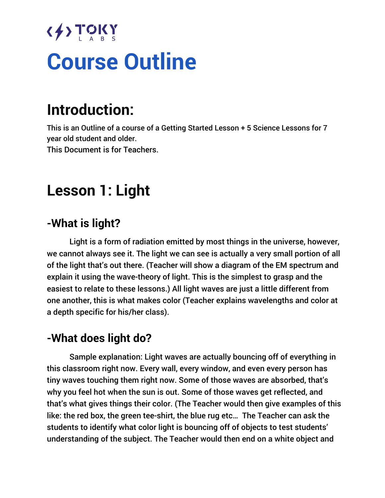# $\langle \frac{1}{2} \rangle$  TOKY **Course Outline**

# **Introduction:**

This is an Outline of a course of a Getting Started Lesson + 5 Science Lessons for 7 year old student and older. This Document is for Teachers.

# **Lesson 1: Light**

# **-What is light?**

Light is a form of radiation emitted by most things in the universe, however, we cannot always see it. The light we can see is actually a very small portion of all of the light that's out there. (Teacher will show a diagram of the EM spectrum and explain it using the wave-theory of light. This is the simplest to grasp and the easiest to relate to these lessons.) All light waves are just a little different from one another, this is what makes color (Teacher explains wavelengths and color at a depth specific for his/her class).

# **-What does light do?**

Sample explanation: Light waves are actually bouncing off of everything in this classroom right now. Every wall, every window, and even every person has tiny waves touching them right now. Some of those waves are absorbed, that's why you feel hot when the sun is out. Some of those waves get reflected, and that's what gives things their color. (The Teacher would then give examples of this like: the red box, the green tee-shirt, the blue rug etc… The Teacher can ask the students to identify what color light is bouncing off of objects to test students' understanding of the subject. The Teacher would then end on a white object and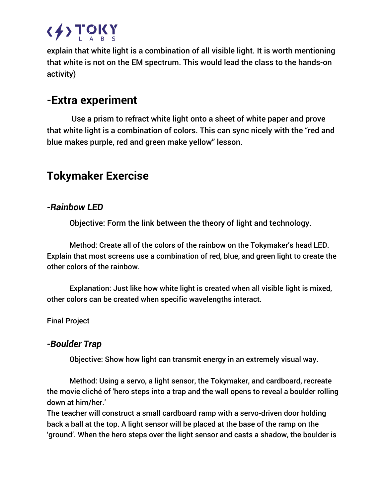

explain that white light is a combination of all visible light. It is worth mentioning that white is not on the EM spectrum. This would lead the class to the hands-on activity)

## **-Extra experiment**

Use a prism to refract white light onto a sheet of white paper and prove that white light is a combination of colors. This can sync nicely with the "red and blue makes purple, red and green make yellow" lesson.

# **Tokymaker Exercise**

#### *-Rainbow LED*

Objective: Form the link between the theory of light and technology.

Method: Create all of the colors of the rainbow on the Tokymaker's head LED. Explain that most screens use a combination of red, blue, and green light to create the other colors of the rainbow.

Explanation: Just like how white light is created when all visible light is mixed, other colors can be created when specific wavelengths interact.

Final Project

#### *-Boulder Trap*

Objective: Show how light can transmit energy in an extremely visual way.

Method: Using a servo, a light sensor, the Tokymaker, and cardboard, recreate the movie cliché of 'hero steps into a trap and the wall opens to reveal a boulder rolling down at him/her.'

The teacher will construct a small cardboard ramp with a servo-driven door holding back a ball at the top. A light sensor will be placed at the base of the ramp on the 'ground'. When the hero steps over the light sensor and casts a shadow, the boulder is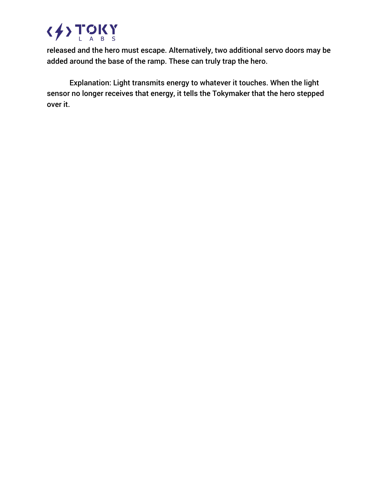

released and the hero must escape. Alternatively, two additional servo doors may be added around the base of the ramp. These can truly trap the hero.

Explanation: Light transmits energy to whatever it touches. When the light sensor no longer receives that energy, it tells the Tokymaker that the hero stepped over it.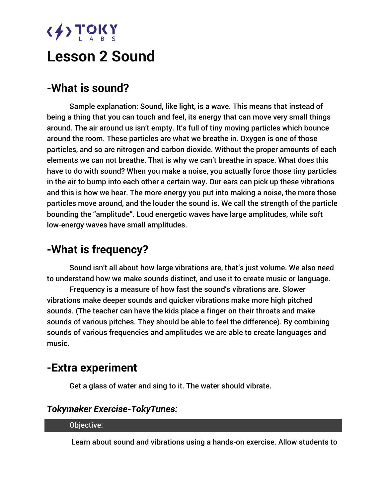# $\langle \frac{1}{2} \rangle$  TOKY

# **Lesson 2 Sound**

# **-What is sound?**

Sample explanation: Sound, like light, is a wave. This means that instead of being a thing that you can touch and feel, its energy that can move very small things around. The air around us isn't empty. It's full of tiny moving particles which bounce around the room. These particles are what we breathe in. Oxygen is one of those particles, and so are nitrogen and carbon dioxide. Without the proper amounts of each elements we can not breathe. That is why we can't breathe in space. What does this have to do with sound? When you make a noise, you actually force those tiny particles in the air to bump into each other a certain way. Our ears can pick up these vibrations and this is how we hear. The more energy you put into making a noise, the more those particles move around, and the louder the sound is. We call the strength of the particle bounding the "amplitude". Loud energetic waves have large amplitudes, while soft low-energy waves have small amplitudes.

# **-What is frequency?**

Sound isn't all about how large vibrations are, that's just volume. We also need to understand how we make sounds distinct, and use it to create music or language.

Frequency is a measure of how fast the sound's vibrations are. Slower vibrations make deeper sounds and quicker vibrations make more high pitched sounds. (The teacher can have the kids place a finger on their throats and make sounds of various pitches. They should be able to feel the difference). By combining sounds of various frequencies and amplitudes we are able to create languages and music.

## **-Extra experiment**

Get a glass of water and sing to it. The water should vibrate.

#### *Tokymaker Exercise-TokyTunes:*

#### Objective:

Learn about sound and vibrations using a hands-on exercise. Allow students to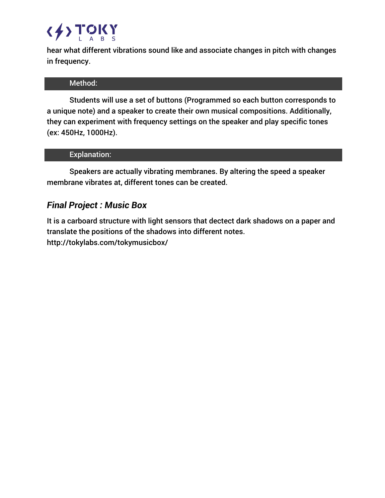# $\langle \frac{1}{2} \rangle$  TOKY

hear what different vibrations sound like and associate changes in pitch with changes in frequency.

#### Method:

Students will use a set of buttons (Programmed so each button corresponds to a unique note) and a speaker to create their own musical compositions. Additionally, they can experiment with frequency settings on the speaker and play specific tones (ex: 450Hz, 1000Hz).

#### Explanation:

Speakers are actually vibrating membranes. By altering the speed a speaker membrane vibrates at, different tones can be created.

#### *Final Project : Music Box*

It is a carboard structure with light sensors that dectect dark shadows on a paper and translate the positions of the shadows into different notes. http://tokylabs.com/tokymusicbox/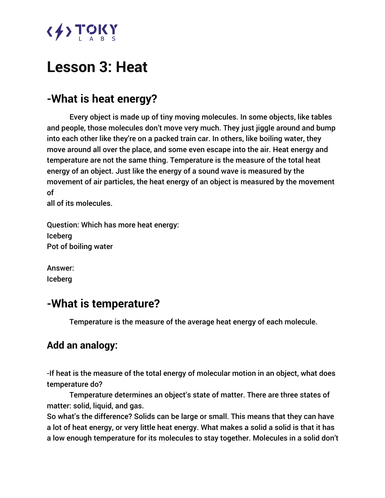

# **Lesson 3: Heat**

# **-What is heat energy?**

Every object is made up of tiny moving molecules. In some objects, like tables and people, those molecules don't move very much. They just jiggle around and bump into each other like they're on a packed train car. In others, like boiling water, they move around all over the place, and some even escape into the air. Heat energy and temperature are not the same thing. Temperature is the measure of the total heat energy of an object. Just like the energy of a sound wave is measured by the movement of air particles, the heat energy of an object is measured by the movement of

all of its molecules.

Question: Which has more heat energy: Iceberg Pot of boiling water

Answer: Iceberg

## **-What is temperature?**

Temperature is the measure of the average heat energy of each molecule.

### **Add an analogy:**

-If heat is the measure of the total energy of molecular motion in an object, what does temperature do?

Temperature determines an object's state of matter. There are three states of matter: solid, liquid, and gas.

So what's the difference? Solids can be large or small. This means that they can have a lot of heat energy, or very little heat energy. What makes a solid a solid is that it has a low enough temperature for its molecules to stay together. Molecules in a solid don't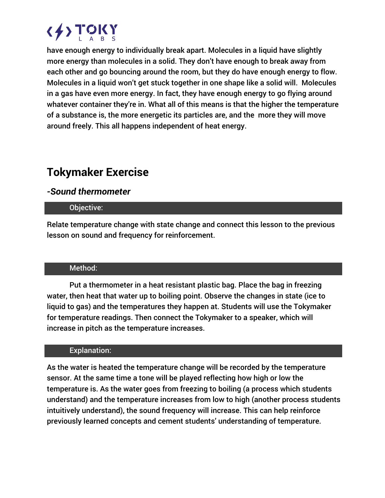

have enough energy to individually break apart. Molecules in a liquid have slightly more energy than molecules in a solid. They don't have enough to break away from each other and go bouncing around the room, but they do have enough energy to flow. Molecules in a liquid won't get stuck together in one shape like a solid will. Molecules in a gas have even more energy. In fact, they have enough energy to go flying around whatever container they're in. What all of this means is that the higher the temperature of a substance is, the more energetic its particles are, and the more they will move around freely. This all happens independent of heat energy.

# **Tokymaker Exercise**

#### *-Sound thermometer*

#### Objective:

Relate temperature change with state change and connect this lesson to the previous lesson on sound and frequency for reinforcement.

#### Method:

Put a thermometer in a heat resistant plastic bag. Place the bag in freezing water, then heat that water up to boiling point. Observe the changes in state (ice to liquid to gas) and the temperatures they happen at. Students will use the Tokymaker for temperature readings. Then connect the Tokymaker to a speaker, which will increase in pitch as the temperature increases.

#### Explanation:

As the water is heated the temperature change will be recorded by the temperature sensor. At the same time a tone will be played reflecting how high or low the temperature is. As the water goes from freezing to boiling (a process which students understand) and the temperature increases from low to high (another process students intuitively understand), the sound frequency will increase. This can help reinforce previously learned concepts and cement students' understanding of temperature.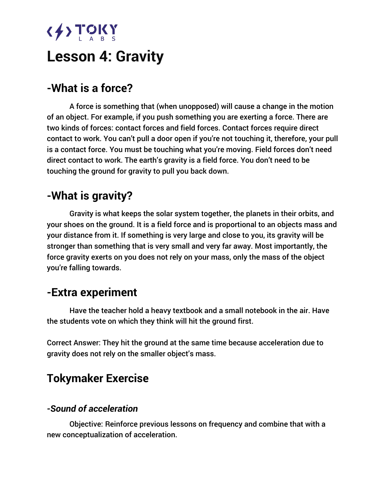# $\langle \frac{1}{2} \rangle$  TOKY

# **Lesson 4: Gravity**

# **-What is a force?**

A force is something that (when unopposed) will cause a change in the motion of an object. For example, if you push something you are exerting a force. There are two kinds of forces: contact forces and field forces. Contact forces require direct contact to work. You can't pull a door open if you're not touching it, therefore, your pull is a contact force. You must be touching what you're moving. Field forces don't need direct contact to work. The earth's gravity is a field force. You don't need to be touching the ground for gravity to pull you back down.

## **-What is gravity?**

Gravity is what keeps the solar system together, the planets in their orbits, and your shoes on the ground. It is a field force and is proportional to an objects mass and your distance from it. If something is very large and close to you, its gravity will be stronger than something that is very small and very far away. Most importantly, the force gravity exerts on you does not rely on your mass, only the mass of the object you're falling towards.

## **-Extra experiment**

Have the teacher hold a heavy textbook and a small notebook in the air. Have the students vote on which they think will hit the ground first.

Correct Answer: They hit the ground at the same time because acceleration due to gravity does not rely on the smaller object's mass.

## **Tokymaker Exercise**

#### *-Sound of acceleration*

Objective: Reinforce previous lessons on frequency and combine that with a new conceptualization of acceleration.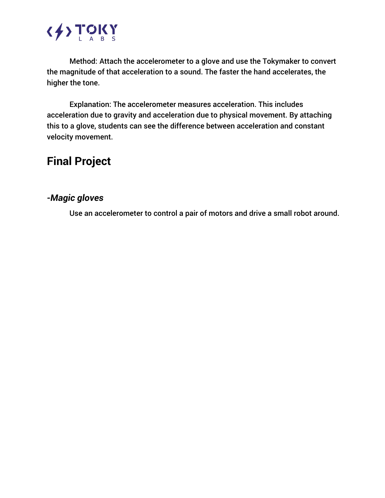

Method: Attach the accelerometer to a glove and use the Tokymaker to convert the magnitude of that acceleration to a sound. The faster the hand accelerates, the higher the tone.

Explanation: The accelerometer measures acceleration. This includes acceleration due to gravity and acceleration due to physical movement. By attaching this to a glove, students can see the difference between acceleration and constant velocity movement.

# **Final Project**

#### *-Magic gloves*

Use an accelerometer to control a pair of motors and drive a small robot around.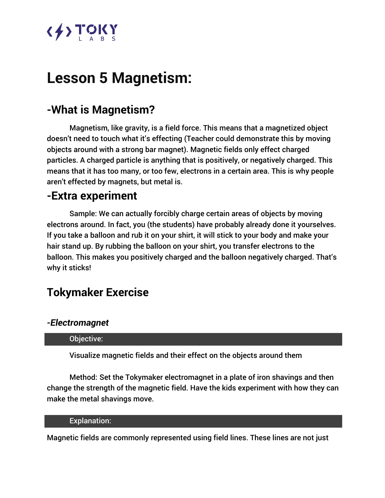# <u>{{}}TOKY</u>

# **Lesson 5 Magnetism:**

# **-What is Magnetism?**

Magnetism, like gravity, is a field force. This means that a magnetized object doesn't need to touch what it's effecting (Teacher could demonstrate this by moving objects around with a strong bar magnet). Magnetic fields only effect charged particles. A charged particle is anything that is positively, or negatively charged. This means that it has too many, or too few, electrons in a certain area. This is why people aren't effected by magnets, but metal is.

## **-Extra experiment**

Sample: We can actually forcibly charge certain areas of objects by moving electrons around. In fact, you (the students) have probably already done it yourselves. If you take a balloon and rub it on your shirt, it will stick to your body and make your hair stand up. By rubbing the balloon on your shirt, you transfer electrons to the balloon. This makes you positively charged and the balloon negatively charged. That's why it sticks!

# **Tokymaker Exercise**

#### *-Electromagnet*

#### Objective:

Visualize magnetic fields and their effect on the objects around them

Method: Set the Tokymaker electromagnet in a plate of iron shavings and then change the strength of the magnetic field. Have the kids experiment with how they can make the metal shavings move.

#### Explanation:

Magnetic fields are commonly represented using field lines. These lines are not just